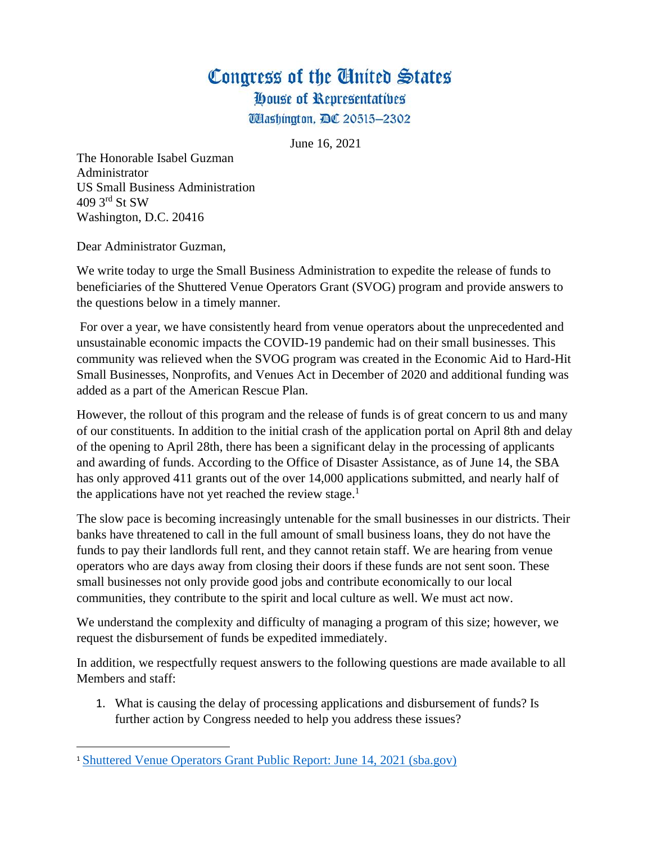House of Representatives

**Wlashington, DC 20515-2302** 

June 16, 2021

The Honorable Isabel Guzman Administrator US Small Business Administration 409 3rd St SW Washington, D.C. 20416

Dear Administrator Guzman,

We write today to urge the Small Business Administration to expedite the release of funds to beneficiaries of the Shuttered Venue Operators Grant (SVOG) program and provide answers to the questions below in a timely manner.

For over a year, we have consistently heard from venue operators about the unprecedented and unsustainable economic impacts the COVID-19 pandemic had on their small businesses. This community was relieved when the SVOG program was created in the Economic Aid to Hard-Hit Small Businesses, Nonprofits, and Venues Act in December of 2020 and additional funding was added as a part of the American Rescue Plan.

However, the rollout of this program and the release of funds is of great concern to us and many of our constituents. In addition to the initial crash of the application portal on April 8th and delay of the opening to April 28th, there has been a significant delay in the processing of applicants and awarding of funds. According to the Office of Disaster Assistance, as of June 14, the SBA has only approved 411 grants out of the over 14,000 applications submitted, and nearly half of the applications have not yet reached the review stage.<sup>1</sup>

The slow pace is becoming increasingly untenable for the small businesses in our districts. Their banks have threatened to call in the full amount of small business loans, they do not have the funds to pay their landlords full rent, and they cannot retain staff. We are hearing from venue operators who are days away from closing their doors if these funds are not sent soon. These small businesses not only provide good jobs and contribute economically to our local communities, they contribute to the spirit and local culture as well. We must act now.

We understand the complexity and difficulty of managing a program of this size; however, we request the disbursement of funds be expedited immediately.

In addition, we respectfully request answers to the following questions are made available to all Members and staff:

1. What is causing the delay of processing applications and disbursement of funds? Is further action by Congress needed to help you address these issues?

<sup>1</sup> [Shuttered Venue Operators Grant Public Report: June 14, 2021 \(sba.gov\)](https://www.sba.gov/sites/default/files/2021-06/SVOG%20Public%20Report%20-%20Midday%20June%2014%202021-508.pdf)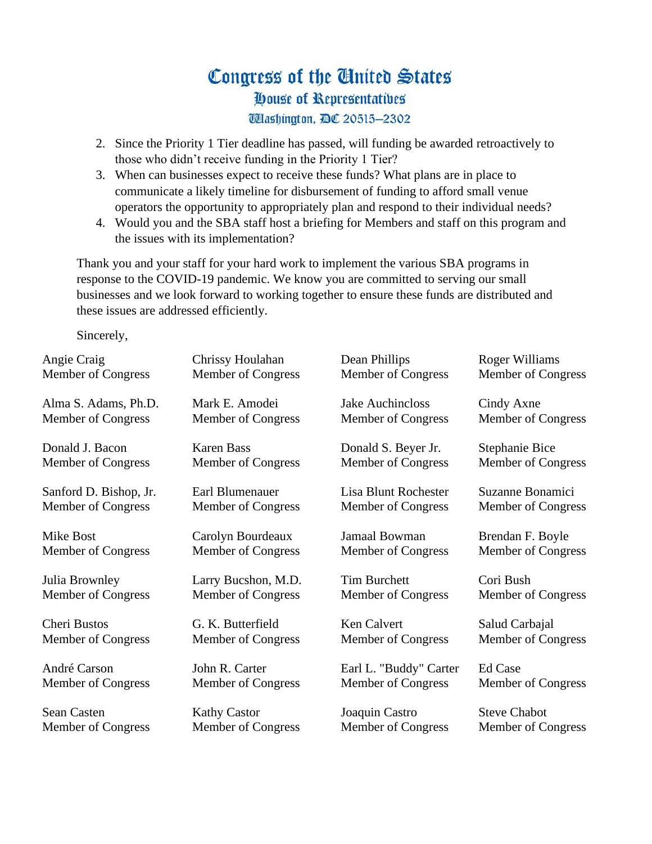### Congress of the United States House of Representatives **Washington, DC 20515-2302**

- 2. Since the Priority 1 Tier deadline has passed, will funding be awarded retroactively to those who didn't receive funding in the Priority 1 Tier?
- 3. When can businesses expect to receive these funds? What plans are in place to communicate a likely timeline for disbursement of funding to afford small venue operators the opportunity to appropriately plan and respond to their individual needs?
- 4. Would you and the SBA staff host a briefing for Members and staff on this program and the issues with its implementation?

Thank you and your staff for your hard work to implement the various SBA programs in response to the COVID-19 pandemic. We know you are committed to serving our small businesses and we look forward to working together to ensure these funds are distributed and these issues are addressed efficiently.

Sincerely,

| Angie Craig            | Chrissy Houlahan          | Dean Phillips             | Roger Williams      |
|------------------------|---------------------------|---------------------------|---------------------|
| Member of Congress     | Member of Congress        | Member of Congress        | Member of Congress  |
| Alma S. Adams, Ph.D.   | Mark E. Amodei            | <b>Jake Auchincloss</b>   | Cindy Axne          |
| Member of Congress     | Member of Congress        | Member of Congress        | Member of Congress  |
| Donald J. Bacon        | <b>Karen Bass</b>         | Donald S. Beyer Jr.       | Stephanie Bice      |
| Member of Congress     | Member of Congress        | Member of Congress        | Member of Congress  |
| Sanford D. Bishop, Jr. | Earl Blumenauer           | Lisa Blunt Rochester      | Suzanne Bonamici    |
| Member of Congress     | Member of Congress        | Member of Congress        | Member of Congress  |
| <b>Mike Bost</b>       | Carolyn Bourdeaux         | Jamaal Bowman             | Brendan F. Boyle    |
| Member of Congress     | Member of Congress        | Member of Congress        | Member of Congress  |
| Julia Brownley         | Larry Bucshon, M.D.       | <b>Tim Burchett</b>       | Cori Bush           |
| Member of Congress     | Member of Congress        | Member of Congress        | Member of Congress  |
| <b>Cheri Bustos</b>    | G. K. Butterfield         | <b>Ken Calvert</b>        | Salud Carbajal      |
| Member of Congress     | Member of Congress        | Member of Congress        | Member of Congress  |
| André Carson           | John R. Carter            | Earl L. "Buddy" Carter    | Ed Case             |
| Member of Congress     | Member of Congress        | Member of Congress        | Member of Congress  |
| Sean Casten            | <b>Kathy Castor</b>       | Joaquin Castro            | <b>Steve Chabot</b> |
| Member of Congress     | <b>Member of Congress</b> | <b>Member of Congress</b> | Member of Congress  |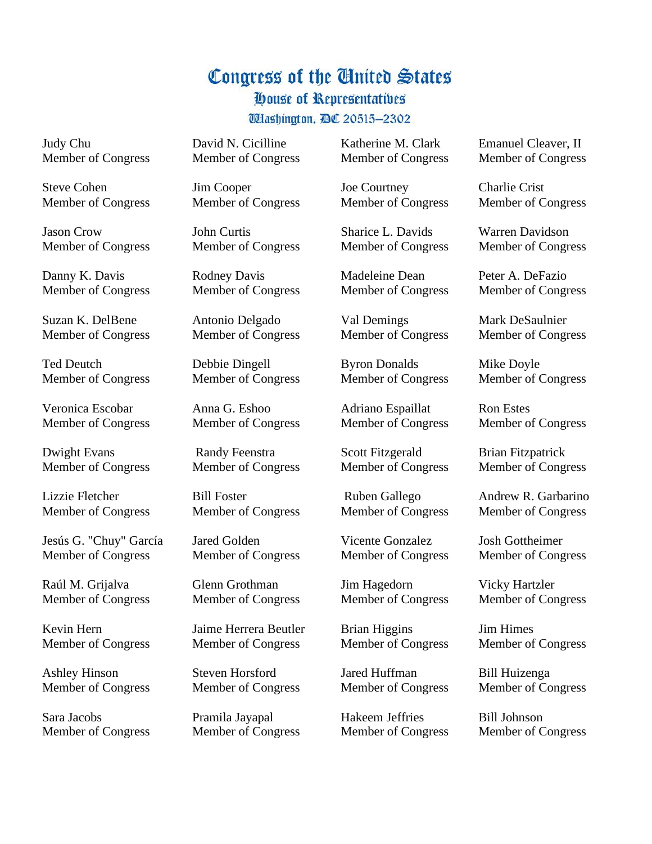House of Representatives

**Washington, DC 20515-2302** 

Judy Chu Member of Congress

Steve Cohen Member of Congress

Jason Crow Member of Congress

Danny K. Davis Member of Congress

Suzan K. DelBene Member of Congress

Ted Deutch Member of Congress

Veronica Escobar Member of Congress

Dwight Evans Member of Congress

Lizzie Fletcher Member of Congress

Jesús G. "Chuy" García Member of Congress

Raúl M. Grijalva Member of Congress

Kevin Hern Member of Congress

Ashley Hinson Member of Congress

Sara Jacobs Member of Congress David N. Cicilline Member of Congress

Jim Cooper Member of Congress

John Curtis Member of Congress

Rodney Davis Member of Congress

Antonio Delgado Member of Congress

Debbie Dingell Member of Congress

Anna G. Eshoo Member of Congress

Randy Feenstra Member of Congress

Bill Foster Member of Congress

Jared Golden Member of Congress

Glenn Grothman Member of Congress

Jaime Herrera Beutler Member of Congress

Steven Horsford Member of Congress

Pramila Jayapal Member of Congress Katherine M. Clark Member of Congress

Joe Courtney Member of Congress

Sharice L. Davids Member of Congress

Madeleine Dean Member of Congress

Val Demings Member of Congress

Byron Donalds Member of Congress

Adriano Espaillat Member of Congress

Scott Fitzgerald Member of Congress

Ruben Gallego Member of Congress

Vicente Gonzalez Member of Congress

Jim Hagedorn Member of Congress

Brian Higgins Member of Congress

Jared Huffman Member of Congress

Hakeem Jeffries Member of Congress Emanuel Cleaver, II Member of Congress

Charlie Crist Member of Congress

Warren Davidson Member of Congress

Peter A. DeFazio Member of Congress

Mark DeSaulnier Member of Congress

Mike Doyle Member of Congress

Ron Estes Member of Congress

Brian Fitzpatrick Member of Congress

Andrew R. Garbarino Member of Congress

Josh Gottheimer Member of Congress

Vicky Hartzler Member of Congress

Jim Himes Member of Congress

Bill Huizenga Member of Congress

Bill Johnson Member of Congress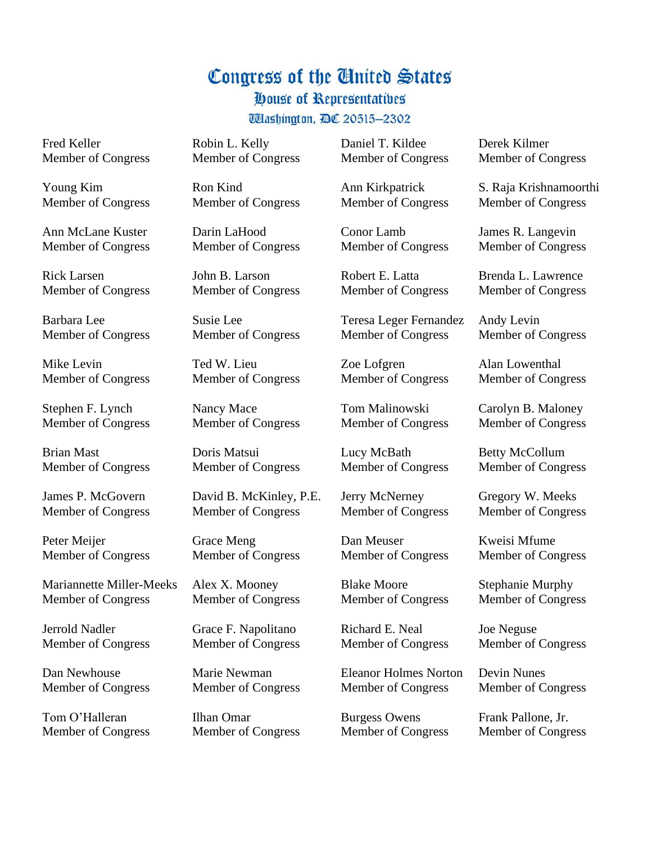House of Representatives

**Washington, DC 20515-2302** 

Fred Keller Member of Congress

Young Kim Member of Congress

Ann McLane Kuster Member of Congress

Rick Larsen Member of Congress

Barbara Lee Member of Congress

Mike Levin Member of Congress

Stephen F. Lynch Member of Congress

Brian Mast Member of Congress

James P. McGovern Member of Congress

Peter Meijer Member of Congress

Mariannette Miller-Meeks Member of Congress

Jerrold Nadler Member of Congress

Dan Newhouse Member of Congress

Tom O'Halleran Member of Congress Robin L. Kelly Member of Congress

Ron Kind Member of Congress

Darin LaHood Member of Congress

John B. Larson Member of Congress

Susie Lee Member of Congress

Ted W. Lieu Member of Congress

Nancy Mace Member of Congress

Doris Matsui Member of Congress

David B. McKinley, P.E. Member of Congress

Grace Meng Member of Congress

Alex X. Mooney Member of Congress

Grace F. Napolitano Member of Congress

Marie Newman Member of Congress

Ilhan Omar Member of Congress Daniel T. Kildee Member of Congress

Ann Kirkpatrick Member of Congress

Conor Lamb Member of Congress

Robert E. Latta Member of Congress

Teresa Leger Fernandez Member of Congress

Zoe Lofgren Member of Congress

Tom Malinowski Member of Congress

Lucy McBath Member of Congress

Jerry McNerney Member of Congress

Dan Meuser Member of Congress

Blake Moore Member of Congress

Richard E. Neal Member of Congress

Eleanor Holmes Norton Member of Congress

Burgess Owens Member of Congress Derek Kilmer Member of Congress

S. Raja Krishnamoorthi Member of Congress

James R. Langevin Member of Congress

Brenda L. Lawrence Member of Congress

Andy Levin Member of Congress

Alan Lowenthal Member of Congress

Carolyn B. Maloney Member of Congress

Betty McCollum Member of Congress

Gregory W. Meeks Member of Congress

Kweisi Mfume Member of Congress

Stephanie Murphy Member of Congress

Joe Neguse Member of Congress

Devin Nunes Member of Congress

Frank Pallone, Jr. Member of Congress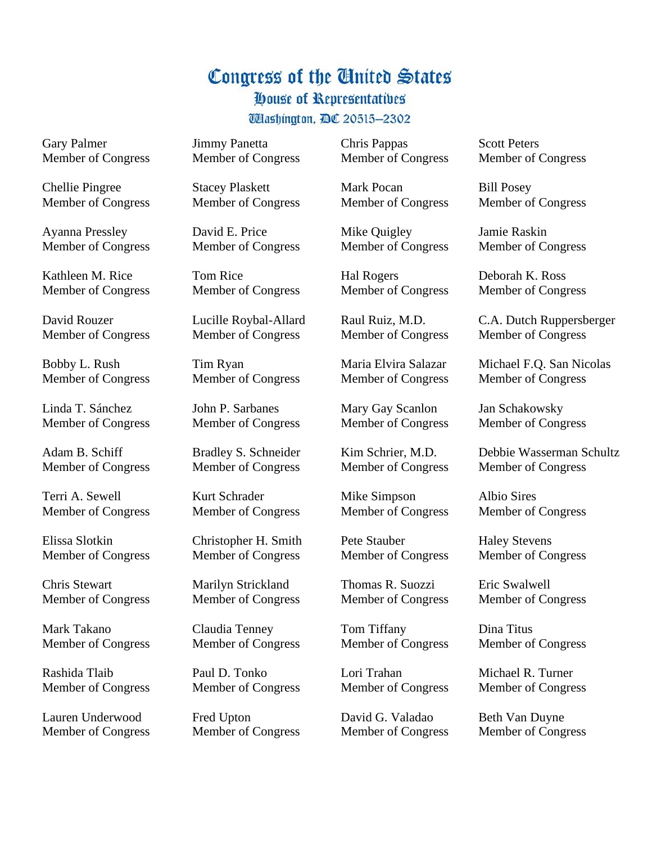House of Representatives

**Washington, DC 20515-2302** 

Gary Palmer Member of Congress

Chellie Pingree Member of Congress

Ayanna Pressley Member of Congress

Kathleen M. Rice Member of Congress

David Rouzer Member of Congress

Bobby L. Rush Member of Congress

Linda T. Sánchez Member of Congress

Adam B. Schiff Member of Congress

Terri A. Sewell Member of Congress

Elissa Slotkin Member of Congress

Chris Stewart Member of Congress

Mark Takano Member of Congress

Rashida Tlaib Member of Congress

Lauren Underwood Member of Congress Jimmy Panetta Member of Congress

Stacey Plaskett Member of Congress

David E. Price Member of Congress

Tom Rice Member of Congress

Lucille Roybal-Allard Member of Congress

Tim Ryan Member of Congress

John P. Sarbanes Member of Congress

Bradley S. Schneider Member of Congress

Kurt Schrader Member of Congress

Christopher H. Smith Member of Congress

Marilyn Strickland Member of Congress

Claudia Tenney Member of Congress

Paul D. Tonko Member of Congress

Fred Upton Member of Congress Chris Pappas Member of Congress

Mark Pocan Member of Congress

Mike Quigley Member of Congress

Hal Rogers Member of Congress

Raul Ruiz, M.D. Member of Congress

Maria Elvira Salazar Member of Congress

Mary Gay Scanlon Member of Congress

Kim Schrier, M.D. Member of Congress

Mike Simpson Member of Congress

Pete Stauber Member of Congress

Thomas R. Suozzi Member of Congress

Tom Tiffany Member of Congress

Lori Trahan Member of Congress

David G. Valadao Member of Congress Scott Peters Member of Congress

Bill Posey Member of Congress

Jamie Raskin Member of Congress

Deborah K. Ross Member of Congress

C.A. Dutch Ruppersberger Member of Congress

Michael F.Q. San Nicolas Member of Congress

Jan Schakowsky Member of Congress

Debbie Wasserman Schultz Member of Congress

Albio Sires Member of Congress

Haley Stevens Member of Congress

Eric Swalwell Member of Congress

Dina Titus Member of Congress

Michael R. Turner Member of Congress

Beth Van Duyne Member of Congress